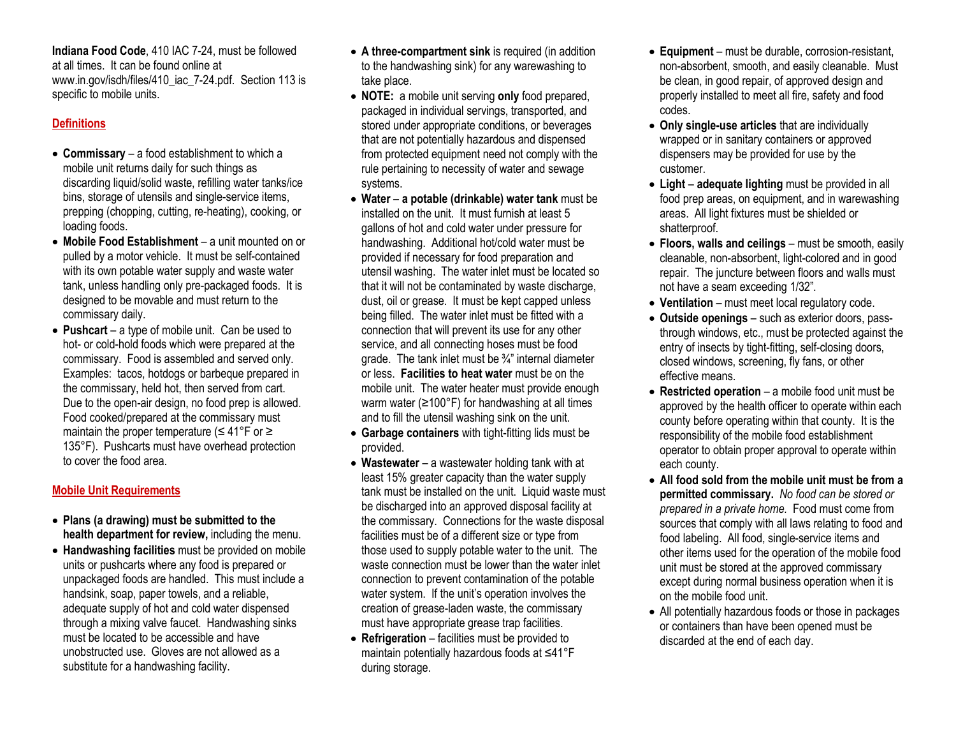**Indiana Food Code**, 410 IAC 7-24, must be followed at all times. It can be found online at www.in.gov/isdh/files/410\_iac\_7-24.pdf. Section 113 is specific to mobile units.

## **Definitions**

- **Commissary** a food establishment to which a mobile unit returns daily for such things as discarding liquid/solid waste, refilling water tanks/ice bins, storage of utensils and single-service items, prepping (chopping, cutting, re-heating), cooking, or loading foods.
- **Mobile Food Establishment** a unit mounted on or pulled by a motor vehicle. It must be self-contained with its own potable water supply and waste water tank, unless handling only pre-packaged foods. It is designed to be movable and must return to the commissary daily.
- **Pushcart** a type of mobile unit. Can be used to hot- or cold-hold foods which were prepared at the commissary. Food is assembled and served only. Examples: tacos, hotdogs or barbeque prepared in the commissary, held hot, then served from cart. Due to the open-air design, no food prep is allowed. Food cooked/prepared at the commissary must maintain the proper temperature ( $\leq 41^{\circ}$ F or  $\geq$ 135°F). Pushcarts must have overhead protection to cover the food area.

## **Mobile Unit Requirements**

- **Plans (a drawing) must be submitted to the health department for review,** including the menu.
- **Handwashing facilities** must be provided on mobile units or pushcarts where any food is prepared or unpackaged foods are handled. This must include a handsink, soap, paper towels, and a reliable, adequate supply of hot and cold water dispensed through a mixing valve faucet. Handwashing sinks must be located to be accessible and have unobstructed use. Gloves are not allowed as a substitute for a handwashing facility.
- **A three-compartment sink** is required (in addition to the handwashing sink) for any warewashing to take place.
- **NOTE:** a mobile unit serving **only** food prepared, packaged in individual servings, transported, and stored under appropriate conditions, or beverages that are not potentially hazardous and dispensed from protected equipment need not comply with the rule pertaining to necessity of water and sewage systems.
- **Water a potable (drinkable) water tank** must be installed on the unit. It must furnish at least 5 gallons of hot and cold water under pressure for handwashing. Additional hot/cold water must be provided if necessary for food preparation and utensil washing. The water inlet must be located so that it will not be contaminated by waste discharge, dust, oil or grease. It must be kept capped unless being filled. The water inlet must be fitted with a connection that will prevent its use for any other service, and all connecting hoses must be food arade. The tank inlet must be  $\frac{3}{4}$ " internal diameter or less. **Facilities to heat water** must be on the mobile unit. The water heater must provide enough warm water ( $\geq 100^{\circ}$ F) for handwashing at all times and to fill the utensil washing sink on the unit.
- **Garbage containers** with tight-fitting lids must be provided.
- **Wastewater**  a wastewater holding tank with at least 15% greater capacity than the water supply tank must be installed on the unit. Liquid waste must be discharged into an approved disposal facility at the commissary. Connections for the waste disposal facilities must be of a different size or type from those used to supply potable water to the unit. The waste connection must be lower than the water inlet connection to prevent contamination of the potable water system. If the unit's operation involves the creation of grease-laden waste, the commissary must have appropriate grease trap facilities.
- **Refrigeration** facilities must be provided to maintain potentially hazardous foods at ≤41°F during storage.
- **Equipment**  must be durable, corrosion-resistant, non-absorbent, smooth, and easily cleanable. Must be clean, in good repair, of approved design and properly installed to meet all fire, safety and food codes.
- **Only single-use articles** that are individually wrapped or in sanitary containers or approved dispensers may be provided for use by the customer.
- **Light adequate lighting** must be provided in all food prep areas, on equipment, and in warewashing areas. All light fixtures must be shielded or shatterproof.
- **Floors, walls and ceilings** must be smooth, easily cleanable, non-absorbent, light-colored and in good repair. The juncture between floors and walls must not have a seam exceeding 1/32".
- **Ventilation**  must meet local regulatory code.
- **Outside openings**  such as exterior doors, passthrough windows, etc., must be protected against the entry of insects by tight-fitting, self-closing doors, closed windows, screening, fly fans, or other effective means.
- **Restricted operation**  a mobile food unit must be approved by the health officer to operate within each county before operating within that county. It is the responsibility of the mobile food establishment operator to obtain proper approval to operate within each county.
- **All food sold from the mobile unit must be from a permitted commissary.** *No food can be stored or prepared in a private home.* Food must come from sources that comply with all laws relating to food and food labeling. All food, single-service items and other items used for the operation of the mobile food unit must be stored at the approved commissary except during normal business operation when it is on the mobile food unit.
- All potentially hazardous foods or those in packages or containers than have been opened must be discarded at the end of each day.